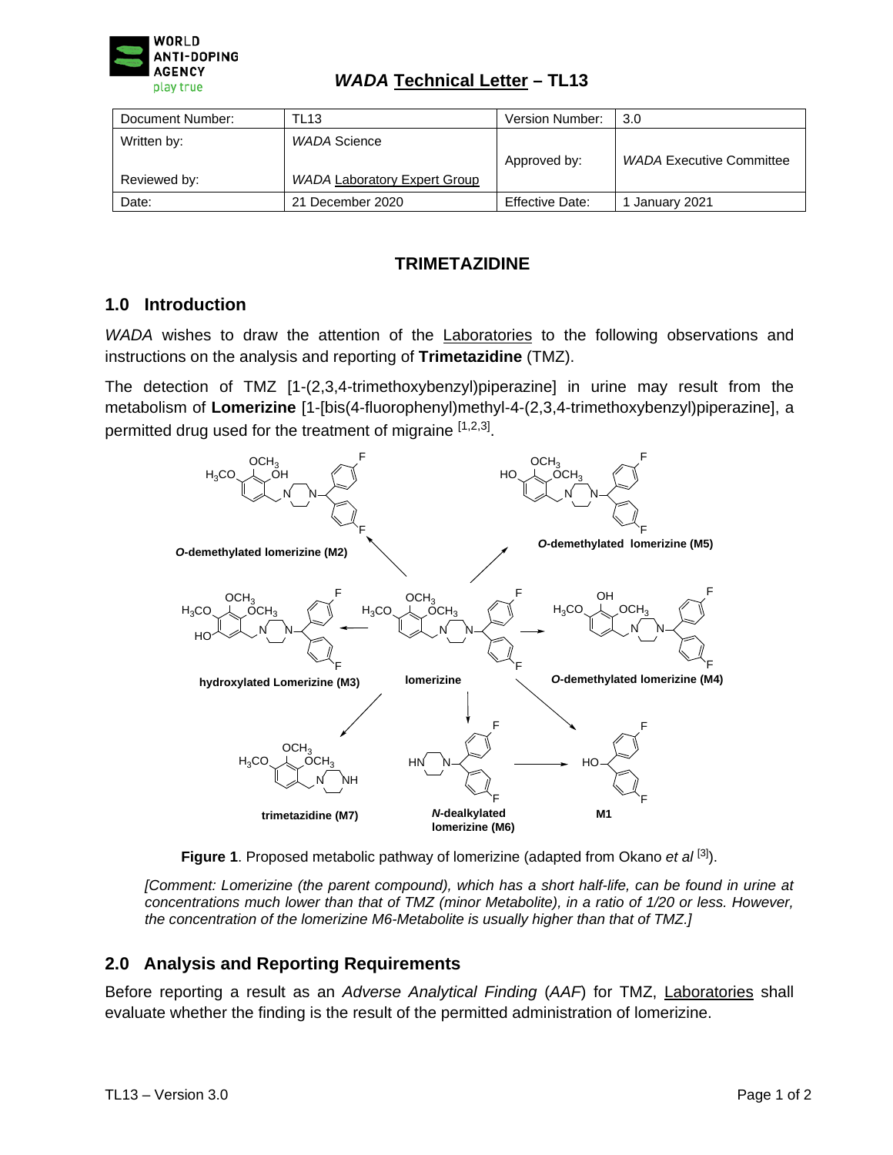

| Document Number: | TL13                                | Version Number: | 3.0                             |
|------------------|-------------------------------------|-----------------|---------------------------------|
| Written by:      | WADA Science                        |                 |                                 |
|                  |                                     | Approved by:    | <b>WADA Executive Committee</b> |
| Reviewed by:     | <b>WADA Laboratory Expert Group</b> |                 |                                 |
| Date:            | 21 December 2020                    | Effective Date: | January 2021                    |

# **TRIMETAZIDINE**

## **1.0 Introduction**

*WADA* wishes to draw the attention of the **Laboratories** to the following observations and instructions on the analysis and reporting of **Trimetazidine** (TMZ).

The detection of TMZ [1-(2,3,4-trimethoxybenzyl)piperazine] in urine may result from the metabolism of **Lomerizine** [1-[bis(4-fluorophenyl)methyl-4-(2,3,4-trimethoxybenzyl)piperazine], a permitted drug used for the treatment of migraine [1,2,3].



**Figure 1**. Proposed metabolic pathway of lomerizine (adapted from Okano *et al* [3] ).

*[Comment: Lomerizine (the parent compound), which has a short half-life, can be found in urine at concentrations much lower than that of TMZ (minor Metabolite), in a ratio of 1/20 or less. However, the concentration of the lomerizine M6-Metabolite is usually higher than that of TMZ.]*

### **2.0 Analysis and Reporting Requirements**

Before reporting a result as an *Adverse Analytical Finding* (*AAF*) for TMZ, Laboratories shall evaluate whether the finding is the result of the permitted administration of lomerizine.